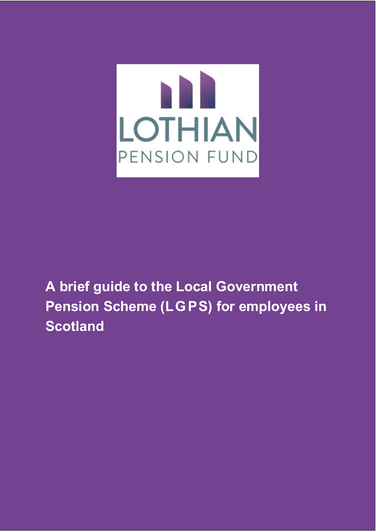

# **A brief guide to the Local Government Pension Scheme (LGPS) for employees in Scotland**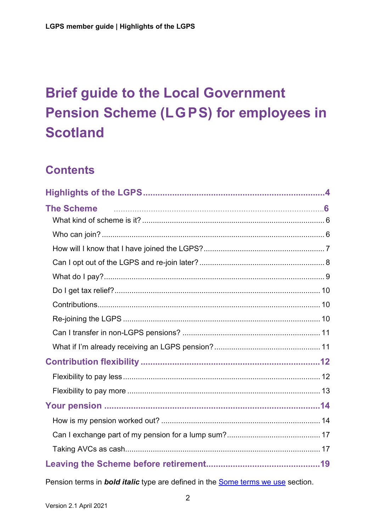# **Brief guide to the Local Government Pension Scheme (LGPS) for employees in Scotland**

# **Contents**

| The Scheme <b>contract the Scheme of the Scheme of the Scheme of the Scheme of the Scheme of the Scheme of Scheme of S</b> |  |
|----------------------------------------------------------------------------------------------------------------------------|--|
|                                                                                                                            |  |
|                                                                                                                            |  |
|                                                                                                                            |  |
|                                                                                                                            |  |
|                                                                                                                            |  |
|                                                                                                                            |  |
|                                                                                                                            |  |
|                                                                                                                            |  |
|                                                                                                                            |  |
|                                                                                                                            |  |
|                                                                                                                            |  |
|                                                                                                                            |  |
|                                                                                                                            |  |
|                                                                                                                            |  |
|                                                                                                                            |  |
|                                                                                                                            |  |
|                                                                                                                            |  |
|                                                                                                                            |  |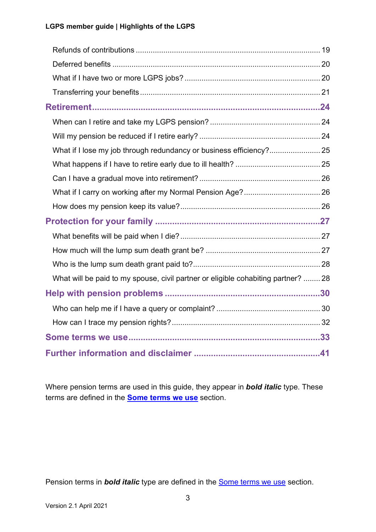| What if I lose my job through redundancy or business efficiency? 25               |  |
|-----------------------------------------------------------------------------------|--|
|                                                                                   |  |
|                                                                                   |  |
|                                                                                   |  |
|                                                                                   |  |
|                                                                                   |  |
|                                                                                   |  |
|                                                                                   |  |
|                                                                                   |  |
| What will be paid to my spouse, civil partner or eligible cohabiting partner?  28 |  |
|                                                                                   |  |
|                                                                                   |  |
|                                                                                   |  |
|                                                                                   |  |
|                                                                                   |  |

Where pension terms are used in this guide, they appear in *bold italic* type. These terms are defined in the **[Some terms we use](#page-32-0)** section.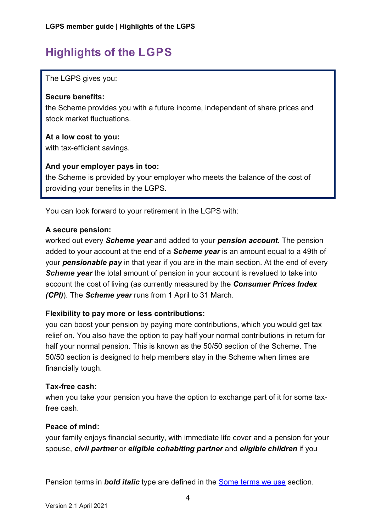# <span id="page-3-0"></span>**Highlights of the LGPS**

The LGPS gives you:

#### **Secure benefits:**

the Scheme provides you with a future income, independent of share prices and stock market fluctuations.

#### **At a low cost to you:**

with tax-efficient savings.

#### **And your employer pays in too:**

the Scheme is provided by your employer who meets the balance of the cost of providing your benefits in the LGPS.

You can look forward to your retirement in the LGPS with:

#### **A secure pension:**

worked out every *Scheme year* and added to your *pension account.* The pension added to your account at the end of a *Scheme year* is an amount equal to a 49th of your *pensionable pay* in that year if you are in the main section. At the end of every **Scheme year** the total amount of pension in your account is revalued to take into account the cost of living (as currently measured by the *Consumer Prices Index (CPI)*). The *Scheme year* runs from 1 April to 31 March.

#### **Flexibility to pay more or less contributions:**

you can boost your pension by paying more contributions, which you would get tax relief on. You also have the option to pay half your normal contributions in return for half your normal pension. This is known as the 50/50 section of the Scheme. The 50/50 section is designed to help members stay in the Scheme when times are financially tough.

#### **Tax-free cash:**

when you take your pension you have the option to exchange part of it for some taxfree cash.

#### **Peace of mind:**

your family enjoys financial security, with immediate life cover and a pension for your spouse, *civil partner* or *eligible cohabiting partner* and *eligible children* if you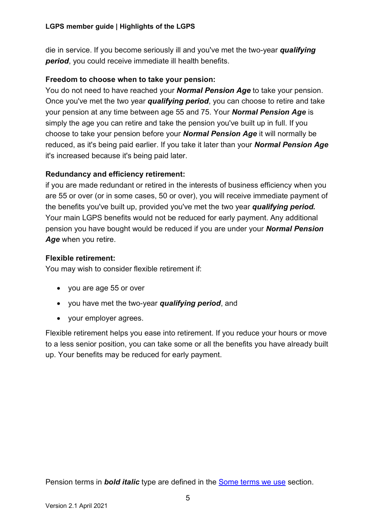die in service. If you become seriously ill and you've met the two-year *qualifying period*, you could receive immediate ill health benefits.

#### **Freedom to choose when to take your pension:**

You do not need to have reached your *Normal Pension Age* to take your pension. Once you've met the two year *qualifying period*, you can choose to retire and take your pension at any time between age 55 and 75. Your *Normal Pension Age* is simply the age you can retire and take the pension you've built up in full. If you choose to take your pension before your *Normal Pension Age* it will normally be reduced, as it's being paid earlier. If you take it later than your *Normal Pension Age* it's increased because it's being paid later.

#### **Redundancy and efficiency retirement:**

if you are made redundant or retired in the interests of business efficiency when you are 55 or over (or in some cases, 50 or over), you will receive immediate payment of the benefits you've built up, provided you've met the two year *qualifying period.* Your main LGPS benefits would not be reduced for early payment. Any additional pension you have bought would be reduced if you are under your *Normal Pension Age* when you retire.

#### **Flexible retirement:**

You may wish to consider flexible retirement if:

- you are age 55 or over
- you have met the two-year *qualifying period*, and
- your employer agrees.

Flexible retirement helps you ease into retirement. If you reduce your hours or move to a less senior position, you can take some or all the benefits you have already built up. Your benefits may be reduced for early payment.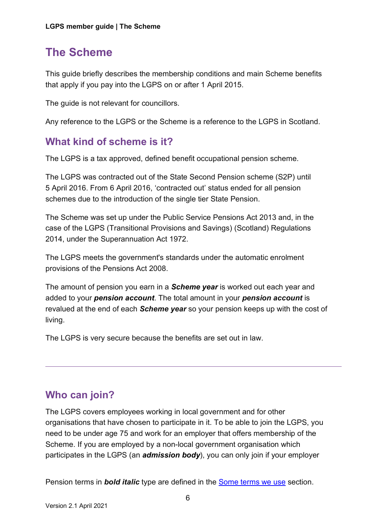# <span id="page-5-0"></span>**The Scheme**

This guide briefly describes the membership conditions and main Scheme benefits that apply if you pay into the LGPS on or after 1 April 2015.

The guide is not relevant for councillors.

Any reference to the LGPS or the Scheme is a reference to the LGPS in Scotland.

### <span id="page-5-1"></span>**What kind of scheme is it?**

The LGPS is a tax approved, defined benefit occupational pension scheme.

The LGPS was contracted out of the State Second Pension scheme (S2P) until 5 April 2016. From 6 April 2016, 'contracted out' status ended for all pension schemes due to the introduction of the single tier State Pension.

The Scheme was set up under the Public Service Pensions Act 2013 and, in the case of the LGPS (Transitional Provisions and Savings) (Scotland) Regulations 2014, under the Superannuation Act 1972.

The LGPS meets the government's standards under the automatic enrolment provisions of the Pensions Act 2008.

The amount of pension you earn in a *Scheme year* is worked out each year and added to your *pension account*. The total amount in your *pension account* is revalued at the end of each *Scheme year* so your pension keeps up with the cost of living.

<span id="page-5-2"></span>The LGPS is very secure because the benefits are set out in law.

### **Who can join?**

The LGPS covers employees working in local government and for other organisations that have chosen to participate in it. To be able to join the LGPS, you need to be under age 75 and work for an employer that offers membership of the Scheme. If you are employed by a non-local government organisation which participates in the LGPS (an *admission body*), you can only join if your employer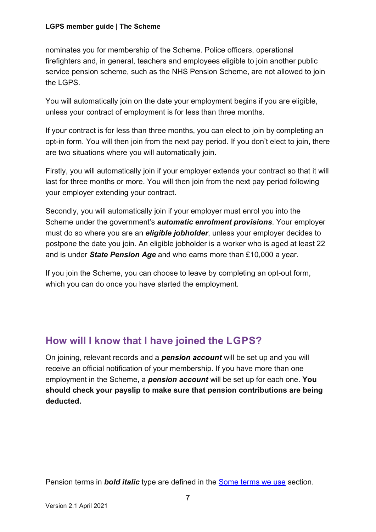#### **LGPS member guide | The Scheme**

nominates you for membership of the Scheme. Police officers, operational firefighters and, in general, teachers and employees eligible to join another public service pension scheme, such as the NHS Pension Scheme, are not allowed to join the LGPS.

You will automatically join on the date your employment begins if you are eligible, unless your contract of employment is for less than three months.

If your contract is for less than three months, you can elect to join by completing an opt-in form. You will then join from the next pay period. If you don't elect to join, there are two situations where you will automatically join.

Firstly, you will automatically join if your employer extends your contract so that it will last for three months or more. You will then join from the next pay period following your employer extending your contract.

Secondly, you will automatically join if your employer must enrol you into the Scheme under the government's *automatic enrolment provisions*. Your employer must do so where you are an *eligible jobholder*, unless your employer decides to postpone the date you join. An eligible jobholder is a worker who is aged at least 22 and is under *State Pension Age* and who earns more than £10,000 a year.

<span id="page-6-0"></span>If you join the Scheme, you can choose to leave by completing an opt-out form, which you can do once you have started the employment.

### **How will I know that I have joined the LGPS?**

<span id="page-6-1"></span>On joining, relevant records and a *pension account* will be set up and you will receive an official notification of your membership. If you have more than one employment in the Scheme, a *pension account* will be set up for each one. **You should check your payslip to make sure that pension contributions are being deducted.**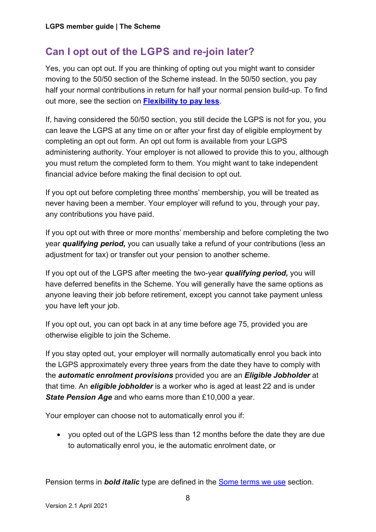### **Can I opt out of the LGPS and re-join later?**

Yes, you can opt out. If you are thinking of opting out you might want to consider moving to the 50/50 section of the Scheme instead. In the 50/50 section, you pay half your normal contributions in return for half your normal pension build-up. To find out more, see the section on **[Flexibility to pay less](#page-11-1)**.

If, having considered the 50/50 section, you still decide the LGPS is not for you, you can leave the LGPS at any time on or after your first day of eligible employment by completing an opt out form. An opt out form is available from your LGPS administering authority. Your employer is not allowed to provide this to you, although you must return the completed form to them. You might want to take independent financial advice before making the final decision to opt out.

If you opt out before completing three months' membership, you will be treated as never having been a member. Your employer will refund to you, through your pay, any contributions you have paid.

If you opt out with three or more months' membership and before completing the two year *qualifying period,* you can usually take a refund of your contributions (less an adjustment for tax) or transfer out your pension to another scheme.

If you opt out of the LGPS after meeting the two-year *qualifying period,* you will have deferred benefits in the Scheme. You will generally have the same options as anyone leaving their job before retirement, except you cannot take payment unless you have left your job.

If you opt out, you can opt back in at any time before age 75, provided you are otherwise eligible to join the Scheme.

If you stay opted out, your employer will normally automatically enrol you back into the LGPS approximately every three years from the date they have to comply with the *automatic enrolment provisions* provided you are an *Eligible Jobholder* at that time. An *eligible jobholder* is a worker who is aged at least 22 and is under *State Pension Age* and who earns more than £10,000 a year.

Your employer can choose not to automatically enrol you if:

• you opted out of the LGPS less than 12 months before the date they are due to automatically enrol you, ie the automatic enrolment date, or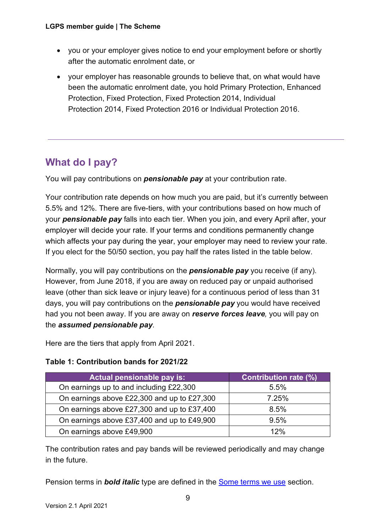#### **LGPS member guide | The Scheme**

- you or your employer gives notice to end your employment before or shortly after the automatic enrolment date, or
- your employer has reasonable grounds to believe that, on what would have been the automatic enrolment date, you hold Primary Protection, Enhanced Protection, Fixed Protection, Fixed Protection 2014, Individual Protection 2014, Fixed Protection 2016 or Individual Protection 2016.

### <span id="page-8-0"></span>**What do I pay?**

You will pay contributions on *pensionable pay* at your contribution rate.

Your contribution rate depends on how much you are paid, but it's currently between 5.5% and 12%. There are five-tiers, with your contributions based on how much of your *pensionable pay* falls into each tier. When you join, and every April after, your employer will decide your rate. If your terms and conditions permanently change which affects your pay during the year, your employer may need to review your rate. If you elect for the 50/50 section, you pay half the rates listed in the table below.

Normally, you will pay contributions on the *pensionable pay* you receive (if any). However, from June 2018, if you are away on reduced pay or unpaid authorised leave (other than sick leave or injury leave) for a continuous period of less than 31 days, you will pay contributions on the *pensionable pay* you would have received had you not been away. If you are away on *reserve forces leave,* you will pay on the *assumed pensionable pay.*

Here are the tiers that apply from April 2021.

#### **Table 1: Contribution bands for 2021/22**

| Actual pensionable pay is:                  | <b>Contribution rate <math>(\%)</math></b> |
|---------------------------------------------|--------------------------------------------|
| On earnings up to and including £22,300     | 5.5%                                       |
| On earnings above £22,300 and up to £27,300 | 7.25%                                      |
| On earnings above £27,300 and up to £37,400 | 8.5%                                       |
| On earnings above £37,400 and up to £49,900 | 9.5%                                       |
| On earnings above £49,900                   | 12%                                        |

The contribution rates and pay bands will be reviewed periodically and may change in the future.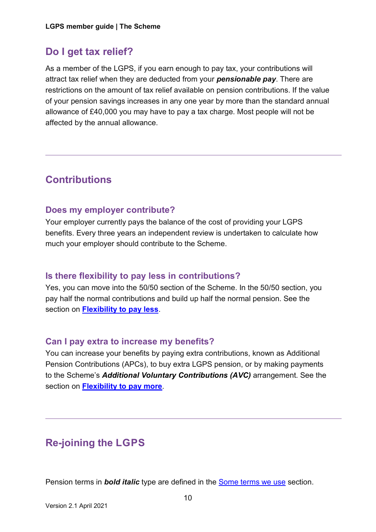### <span id="page-9-0"></span>**Do I get tax relief?**

As a member of the LGPS, if you earn enough to pay tax, your contributions will attract tax relief when they are deducted from your *pensionable pay*. There are restrictions on the amount of tax relief available on pension contributions. If the value of your pension savings increases in any one year by more than the standard annual allowance of £40,000 you may have to pay a tax charge. Most people will not be affected by the annual allowance.

### <span id="page-9-1"></span>**Contributions**

### **Does my employer contribute?**

Your employer currently pays the balance of the cost of providing your LGPS benefits. Every three years an independent review is undertaken to calculate how much your employer should contribute to the Scheme.

### **Is there flexibility to pay less in contributions?**

Yes, you can move into the 50/50 section of the Scheme. In the 50/50 section, you pay half the normal contributions and build up half the normal pension. See the section on **[Flexibility to pay less](#page-11-1)**.

### **Can I pay extra to increase my benefits?**

You can increase your benefits by paying extra contributions, known as Additional Pension Contributions (APCs), to buy extra LGPS pension, or by making payments to the Scheme's *Additional Voluntary Contributions (AVC)* arrangement. See the section on **[Flexibility to pay more](#page-12-0)**.

# <span id="page-9-2"></span>**Re-joining the LGPS**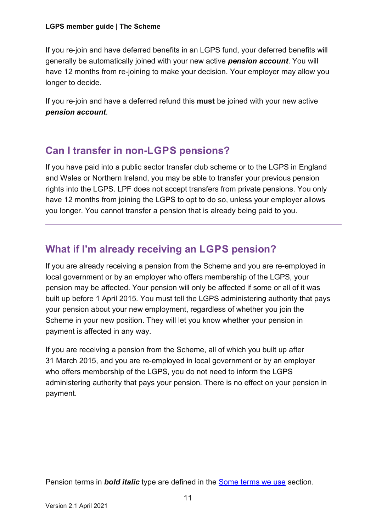If you re-join and have deferred benefits in an LGPS fund, your deferred benefits will generally be automatically joined with your new active *pension account*. You will have 12 months from re-joining to make your decision. Your employer may allow you longer to decide.

If you re-join and have a deferred refund this **must** be joined with your new active *pension account*.

### <span id="page-10-0"></span>**Can I transfer in non-LGPS pensions?**

If you have paid into a public sector transfer club scheme or to the LGPS in England and Wales or Northern Ireland, you may be able to transfer your previous pension rights into the LGPS. LPF does not accept transfers from private pensions. You only have 12 months from joining the LGPS to opt to do so, unless your employer allows you longer. You cannot transfer a pension that is already being paid to you.

### <span id="page-10-1"></span>**What if I'm already receiving an LGPS pension?**

If you are already receiving a pension from the Scheme and you are re-employed in local government or by an employer who offers membership of the LGPS, your pension may be affected. Your pension will only be affected if some or all of it was built up before 1 April 2015. You must tell the LGPS administering authority that pays your pension about your new employment, regardless of whether you join the Scheme in your new position. They will let you know whether your pension in payment is affected in any way.

If you are receiving a pension from the Scheme, all of which you built up after 31 March 2015, and you are re-employed in local government or by an employer who offers membership of the LGPS, you do not need to inform the LGPS administering authority that pays your pension. There is no effect on your pension in payment.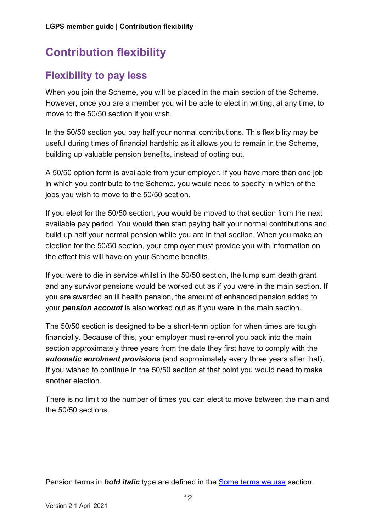# <span id="page-11-0"></span>**Contribution flexibility**

### <span id="page-11-1"></span>**Flexibility to pay less**

When you join the Scheme, you will be placed in the main section of the Scheme. However, once you are a member you will be able to elect in writing, at any time, to move to the 50/50 section if you wish.

In the 50/50 section you pay half your normal contributions. This flexibility may be useful during times of financial hardship as it allows you to remain in the Scheme, building up valuable pension benefits, instead of opting out.

A 50/50 option form is available from your employer. If you have more than one job in which you contribute to the Scheme, you would need to specify in which of the jobs you wish to move to the 50/50 section.

If you elect for the 50/50 section, you would be moved to that section from the next available pay period. You would then start paying half your normal contributions and build up half your normal pension while you are in that section. When you make an election for the 50/50 section, your employer must provide you with information on the effect this will have on your Scheme benefits.

If you were to die in service whilst in the 50/50 section, the lump sum death grant and any survivor pensions would be worked out as if you were in the main section. If you are awarded an ill health pension, the amount of enhanced pension added to your *pension account* is also worked out as if you were in the main section.

The 50/50 section is designed to be a short-term option for when times are tough financially. Because of this, your employer must re-enrol you back into the main section approximately three years from the date they first have to comply with the *automatic enrolment provisions* (and approximately every three years after that). If you wished to continue in the 50/50 section at that point you would need to make another election.

There is no limit to the number of times you can elect to move between the main and the 50/50 sections.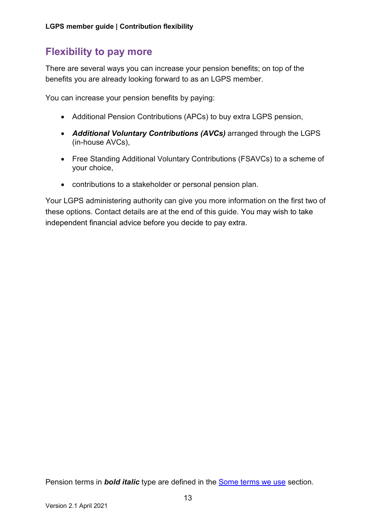### <span id="page-12-0"></span>**Flexibility to pay more**

There are several ways you can increase your pension benefits; on top of the benefits you are already looking forward to as an LGPS member.

You can increase your pension benefits by paying:

- Additional Pension Contributions (APCs) to buy extra LGPS pension,
- *Additional Voluntary Contributions (AVCs)* arranged through the LGPS (in-house AVCs),
- Free Standing Additional Voluntary Contributions (FSAVCs) to a scheme of your choice,
- contributions to a stakeholder or personal pension plan.

Your LGPS administering authority can give you more information on the first two of these options. Contact details are at the end of this guide. You may wish to take independent financial advice before you decide to pay extra.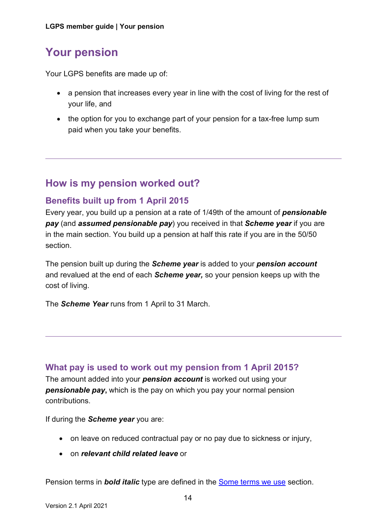# <span id="page-13-0"></span>**Your pension**

Your LGPS benefits are made up of:

- a pension that increases every year in line with the cost of living for the rest of your life, and
- the option for you to exchange part of your pension for a tax-free lump sum paid when you take your benefits.

### <span id="page-13-1"></span>**How is my pension worked out?**

### **Benefits built up from 1 April 2015**

Every year, you build up a pension at a rate of 1/49th of the amount of *pensionable pay* (and *assumed pensionable pay*) you received in that *Scheme year* if you are in the main section. You build up a pension at half this rate if you are in the 50/50 section.

The pension built up during the *Scheme year* is added to your *pension account* and revalued at the end of each *Scheme year,* so your pension keeps up with the cost of living.

The *Scheme Year* runs from 1 April to 31 March.

### **What pay is used to work out my pension from 1 April 2015?**

The amount added into your *pension account* is worked out using your *pensionable pay***,** which is the pay on which you pay your normal pension contributions.

If during the *Scheme year* you are:

- on leave on reduced contractual pay or no pay due to sickness or injury,
- on *relevant child related leave* or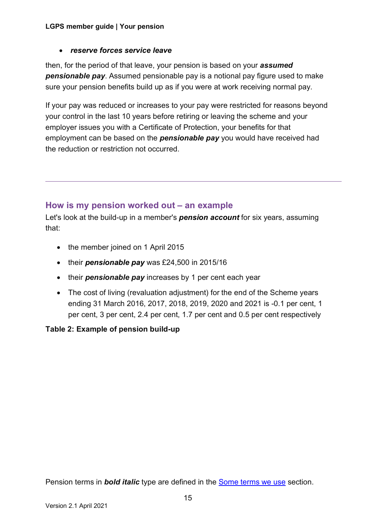#### • *reserve forces service leave*

then, for the period of that leave, your pension is based on your *assumed pensionable pay*. Assumed pensionable pay is a notional pay figure used to make sure your pension benefits build up as if you were at work receiving normal pay.

If your pay was reduced or increases to your pay were restricted for reasons beyond your control in the last 10 years before retiring or leaving the scheme and your employer issues you with a Certificate of Protection, your benefits for that employment can be based on the *pensionable pay* you would have received had the reduction or restriction not occurred.

### **How is my pension worked out – an example**

Let's look at the build-up in a member's *pension account* for six years, assuming that:

- the member joined on 1 April 2015
- their *pensionable pay* was £24,500 in 2015/16
- their *pensionable pay* increases by 1 per cent each year
- The cost of living (revaluation adjustment) for the end of the Scheme years ending 31 March 2016, 2017, 2018, 2019, 2020 and 2021 is -0.1 per cent, 1 per cent, 3 per cent, 2.4 per cent, 1.7 per cent and 0.5 per cent respectively

### **Table 2: Example of pension build-up**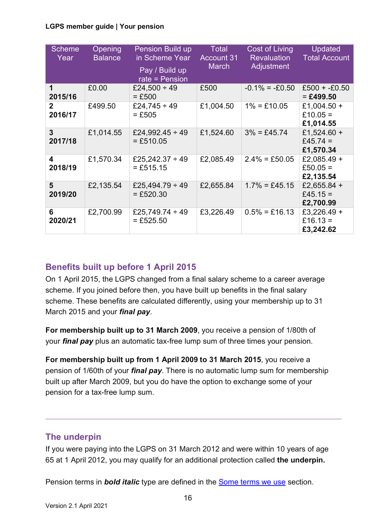#### **LGPS member guide | Your pension**

| <b>Scheme</b><br>Year     | <b>Opening</b><br><b>Balance</b> | Pension Build up<br>in Scheme Year<br>Pay / Build up<br>rate = $Pension$ | <b>Total</b><br><b>Account 31</b><br><b>March</b> | <b>Cost of Living</b><br>Revaluation<br>Adjustment | <b>Updated</b><br><b>Total Account</b> |
|---------------------------|----------------------------------|--------------------------------------------------------------------------|---------------------------------------------------|----------------------------------------------------|----------------------------------------|
| 1<br>2015/16              | £0.00                            | £24,500 $\div$ 49<br>$=$ £500                                            | £500                                              | $-0.1\% = -0.50$                                   | $£500 + E0.50$<br>$= £499.50$          |
| $\mathbf{2}$<br>2016/17   | £499.50                          | £24,745 ÷ 49<br>$=$ £505                                                 | £1,004.50                                         | $1\% = £10.05$                                     | £1,004.50 +<br>£10.05 =<br>£1,014.55   |
| $\overline{3}$<br>2017/18 | £1,014.55                        | £24,992.45 $\div$ 49<br>$= £510.05$                                      | £1,524.60                                         | $3\% = £45.74$                                     | £1,524.60 +<br>£45.74 =<br>£1,570.34   |
| 4<br>2018/19              | £1,570.34                        | £25,242.37 $\div$ 49<br>$=$ £515.15                                      | £2,085.49                                         | $2.4\% = £50.05$                                   | £2,085.49 +<br>£50.05 =<br>£2,135.54   |
| 5<br>2019/20              | £2,135.54                        | £25,494.79 $\div$ 49<br>$= £520.30$                                      | £2,655.84                                         | $1.7\% = £45.15$                                   | £2,655.84 +<br>£45.15 =<br>£2,700.99   |
| 6<br>2020/21              | £2,700.99                        | £25,749.74 $\div$ 49<br>$= £525.50$                                      | £3,226.49                                         | $0.5\% = £16.13$                                   | £3,226.49 +<br>£16.13 =<br>£3,242.62   |

### **Benefits built up before 1 April 2015**

On 1 April 2015, the LGPS changed from a final salary scheme to a career average scheme. If you joined before then, you have built up benefits in the final salary scheme. These benefits are calculated differently, using your membership up to 31 March 2015 and your *final pay*.

**For membership built up to 31 March 2009**, you receive a pension of 1/80th of your *final pay* plus an automatic tax-free lump sum of three times your pension.

**For membership built up from 1 April 2009 to 31 March 2015**, you receive a pension of 1/60th of your *final pay*. There is no automatic lump sum for membership built up after March 2009, but you do have the option to exchange some of your pension for a tax-free lump sum.

### **The underpin**

If you were paying into the LGPS on 31 March 2012 and were within 10 years of age 65 at 1 April 2012, you may qualify for an additional protection called **the underpin.**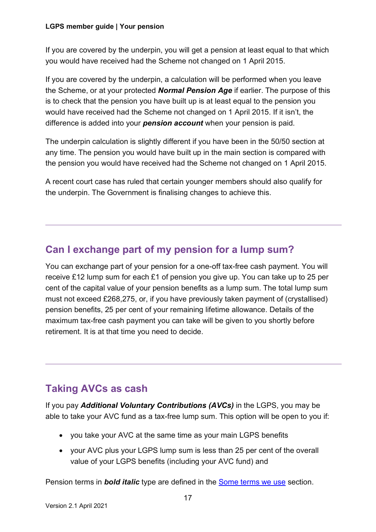#### **LGPS member guide | Your pension**

If you are covered by the underpin, you will get a pension at least equal to that which you would have received had the Scheme not changed on 1 April 2015.

If you are covered by the underpin, a calculation will be performed when you leave the Scheme, or at your protected *Normal Pension Age* if earlier. The purpose of this is to check that the pension you have built up is at least equal to the pension you would have received had the Scheme not changed on 1 April 2015. If it isn't, the difference is added into your *pension account* when your pension is paid.

The underpin calculation is slightly different if you have been in the 50/50 section at any time. The pension you would have built up in the main section is compared with the pension you would have received had the Scheme not changed on 1 April 2015.

A recent court case has ruled that certain younger members should also qualify for the underpin. The Government is finalising changes to achieve this.

### <span id="page-16-0"></span>**Can I exchange part of my pension for a lump sum?**

You can exchange part of your pension for a one-off tax-free cash payment. You will receive £12 lump sum for each £1 of pension you give up. You can take up to 25 per cent of the capital value of your pension benefits as a lump sum. The total lump sum must not exceed £268,275, or, if you have previously taken payment of (crystallised) pension benefits, 25 per cent of your remaining lifetime allowance. Details of the maximum tax-free cash payment you can take will be given to you shortly before retirement. It is at that time you need to decide.

### <span id="page-16-1"></span>**Taking AVCs as cash**

If you pay *Additional Voluntary Contributions (AVCs)* in the LGPS, you may be able to take your AVC fund as a tax-free lump sum. This option will be open to you if:

- you take your AVC at the same time as your main LGPS benefits
- your AVC plus your LGPS lump sum is less than 25 per cent of the overall value of your LGPS benefits (including your AVC fund) and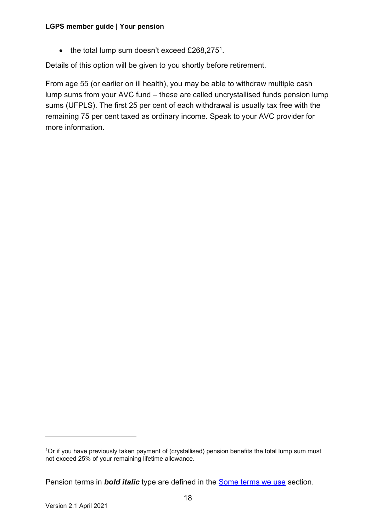#### **LGPS member guide | Your pension**

• the total lump sum doesn't exceed  $£268,275<sup>1</sup>$ .

Details of this option will be given to you shortly before retirement.

From age 55 (or earlier on ill health), you may be able to withdraw multiple cash lump sums from your AVC fund – these are called uncrystallised funds pension lump sums (UFPLS). The first 25 per cent of each withdrawal is usually tax free with the remaining 75 per cent taxed as ordinary income. Speak to your AVC provider for more information.

<span id="page-17-0"></span><sup>&</sup>lt;sup>1</sup>Or if you have previously taken payment of (crystallised) pension benefits the total lump sum must not exceed 25% of your remaining lifetime allowance.

Pension terms in *bold italic* type are defined in the [Some terms we use](#page-32-0) section.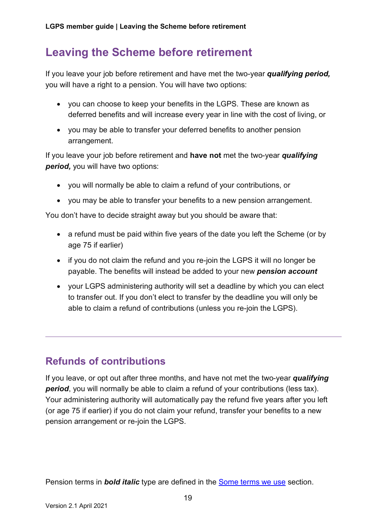# <span id="page-18-0"></span>**Leaving the Scheme before retirement**

If you leave your job before retirement and have met the two-year *qualifying period,* you will have a right to a pension. You will have two options:

- you can choose to keep your benefits in the LGPS. These are known as deferred benefits and will increase every year in line with the cost of living, or
- you may be able to transfer your deferred benefits to another pension arrangement.

If you leave your job before retirement and **have not** met the two-year *qualifying period,* you will have two options:

- you will normally be able to claim a refund of your contributions, or
- you may be able to transfer your benefits to a new pension arrangement.

You don't have to decide straight away but you should be aware that:

- a refund must be paid within five years of the date you left the Scheme (or by age 75 if earlier)
- if you do not claim the refund and you re-join the LGPS it will no longer be payable. The benefits will instead be added to your new *pension account*
- your LGPS administering authority will set a deadline by which you can elect to transfer out. If you don't elect to transfer by the deadline you will only be able to claim a refund of contributions (unless you re-join the LGPS).

### <span id="page-18-1"></span>**Refunds of contributions**

<span id="page-18-2"></span>If you leave, or opt out after three months, and have not met the two-year *qualifying period*, you will normally be able to claim a refund of your contributions (less tax). Your administering authority will automatically pay the refund five years after you left (or age 75 if earlier) if you do not claim your refund, transfer your benefits to a new pension arrangement or re-join the LGPS.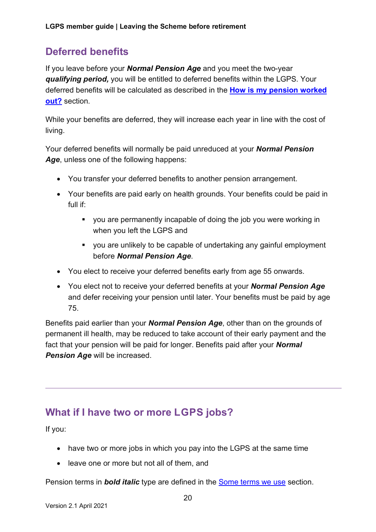### **Deferred benefits**

If you leave before your *Normal Pension Age* and you meet the two-year *qualifying period,* you will be entitled to deferred benefits within the LGPS. Your deferred benefits will be calculated as described in the **How is my pension worked out?** section.

While your benefits are deferred, they will increase each year in line with the cost of living.

Your deferred benefits will normally be paid unreduced at your *Normal Pension Age*, unless one of the following happens:

- You transfer your deferred benefits to another pension arrangement.
- Your benefits are paid early on health grounds. Your benefits could be paid in full if:
	- you are permanently incapable of doing the job you were working in when you left the LGPS and
	- you are unlikely to be capable of undertaking any gainful employment before *Normal Pension Age*.
- You elect to receive your deferred benefits early from age 55 onwards.
- You elect not to receive your deferred benefits at your *Normal Pension Age* and defer receiving your pension until later. Your benefits must be paid by age 75.

Benefits paid earlier than your *Normal Pension Age*, other than on the grounds of permanent ill health, may be reduced to take account of their early payment and the fact that your pension will be paid for longer. Benefits paid after your *Normal Pension Age* will be increased.

### <span id="page-19-0"></span>**What if I have two or more LGPS jobs?**

If you:

- have two or more jobs in which you pay into the LGPS at the same time
- leave one or more but not all of them, and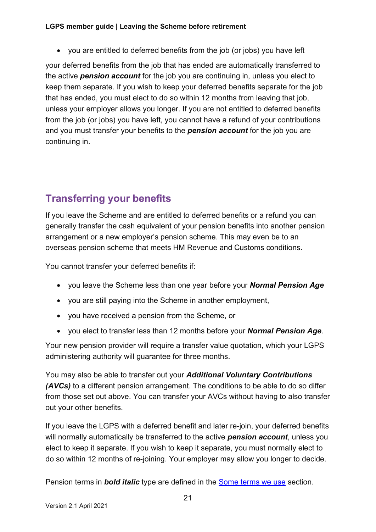#### **LGPS member guide | Leaving the Scheme before retirement**

• you are entitled to deferred benefits from the job (or jobs) you have left

your deferred benefits from the job that has ended are automatically transferred to the active *pension account* for the job you are continuing in, unless you elect to keep them separate. If you wish to keep your deferred benefits separate for the job that has ended, you must elect to do so within 12 months from leaving that job, unless your employer allows you longer. If you are not entitled to deferred benefits from the job (or jobs) you have left, you cannot have a refund of your contributions and you must transfer your benefits to the *pension account* for the job you are continuing in.

### <span id="page-20-0"></span>**Transferring your benefits**

If you leave the Scheme and are entitled to deferred benefits or a refund you can generally transfer the cash equivalent of your pension benefits into another pension arrangement or a new employer's pension scheme. This may even be to an overseas pension scheme that meets HM Revenue and Customs conditions.

You cannot transfer your deferred benefits if:

- you leave the Scheme less than one year before your *Normal Pension Age*
- you are still paying into the Scheme in another employment,
- you have received a pension from the Scheme, or
- you elect to transfer less than 12 months before your *Normal Pension Age*.

Your new pension provider will require a transfer value quotation, which your LGPS administering authority will guarantee for three months.

You may also be able to transfer out your *Additional Voluntary Contributions (AVCs)* to a different pension arrangement. The conditions to be able to do so differ from those set out above. You can transfer your AVCs without having to also transfer out your other benefits.

If you leave the LGPS with a deferred benefit and later re-join, your deferred benefits will normally automatically be transferred to the active *pension account*, unless you elect to keep it separate. If you wish to keep it separate, you must normally elect to do so within 12 months of re-joining. Your employer may allow you longer to decide.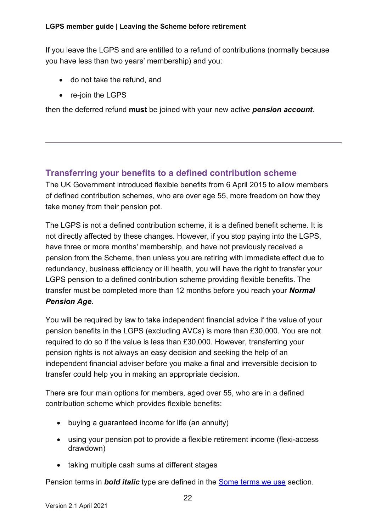If you leave the LGPS and are entitled to a refund of contributions (normally because you have less than two years' membership) and you:

- do not take the refund, and
- re-join the LGPS

then the deferred refund **must** be joined with your new active *pension account*.

### **Transferring your benefits to a defined contribution scheme**

The UK Government introduced flexible benefits from 6 April 2015 to allow members of defined contribution schemes, who are over age 55, more freedom on how they take money from their pension pot.

The LGPS is not a defined contribution scheme, it is a defined benefit scheme. It is not directly affected by these changes. However, if you stop paying into the LGPS, have three or more months' membership, and have not previously received a pension from the Scheme, then unless you are retiring with immediate effect due to redundancy, business efficiency or ill health, you will have the right to transfer your LGPS pension to a defined contribution scheme providing flexible benefits. The transfer must be completed more than 12 months before you reach your *Normal Pension Age*.

You will be required by law to take independent financial advice if the value of your pension benefits in the LGPS (excluding AVCs) is more than £30,000. You are not required to do so if the value is less than £30,000. However, transferring your pension rights is not always an easy decision and seeking the help of an independent financial adviser before you make a final and irreversible decision to transfer could help you in making an appropriate decision.

There are four main options for members, aged over 55, who are in a defined contribution scheme which provides flexible benefits:

- buying a guaranteed income for life (an annuity)
- using your pension pot to provide a flexible retirement income (flexi-access drawdown)
- taking multiple cash sums at different stages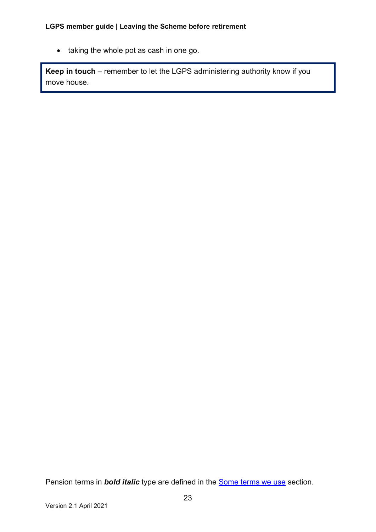• taking the whole pot as cash in one go.

**Keep in touch** – remember to let the LGPS administering authority know if you move house.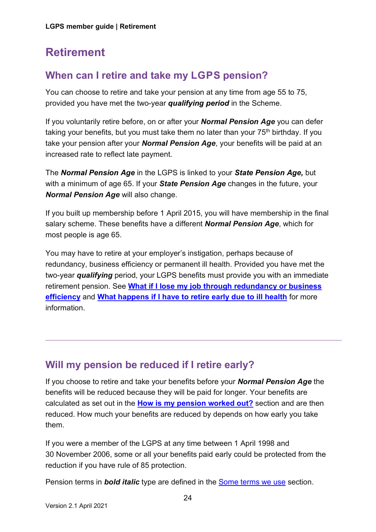# <span id="page-23-0"></span>**Retirement**

### <span id="page-23-1"></span>**When can I retire and take my LGPS pension?**

You can choose to retire and take your pension at any time from age 55 to 75, provided you have met the two-year *qualifying period* in the Scheme.

If you voluntarily retire before, on or after your *Normal Pension Age* you can defer taking your benefits, but you must take them no later than your  $75<sup>th</sup>$  birthday. If you take your pension after your *Normal Pension Age*, your benefits will be paid at an increased rate to reflect late payment.

The *Normal Pension Age* in the LGPS is linked to your *State Pension Age,* but with a minimum of age 65. If your *State Pension Age* changes in the future, your *Normal Pension Age* will also change.

If you built up membership before 1 April 2015, you will have membership in the final salary scheme. These benefits have a different *Normal Pension Age*, which for most people is age 65.

You may have to retire at your employer's instigation, perhaps because of redundancy, business efficiency or permanent ill health. Provided you have met the two-year *qualifying* period, your LGPS benefits must provide you with an immediate retirement pension. See **[What if I lose my job through redundancy or business](#page-24-0)  [efficiency](#page-24-0)** and **[What happens if I have to retire early due to ill health](#page-24-1)** for more information.

### <span id="page-23-2"></span>**Will my pension be reduced if I retire early?**

If you choose to retire and take your benefits before your *Normal Pension Age* the benefits will be reduced because they will be paid for longer. Your benefits are calculated as set out in the **[How is my pension worked out?](#page-13-1)** section and are then reduced. How much your benefits are reduced by depends on how early you take them.

If you were a member of the LGPS at any time between 1 April 1998 and 30 November 2006, some or all your benefits paid early could be protected from the reduction if you have rule of 85 protection.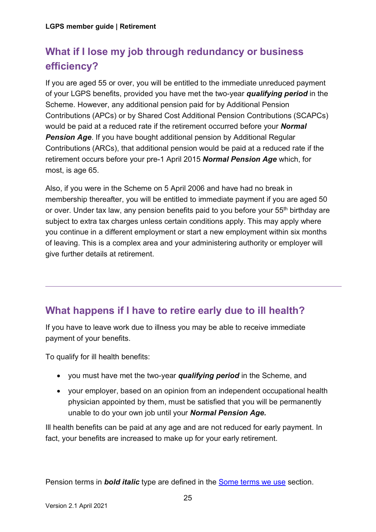# <span id="page-24-0"></span>**What if I lose my job through redundancy or business efficiency?**

If you are aged 55 or over, you will be entitled to the immediate unreduced payment of your LGPS benefits, provided you have met the two-year *qualifying period* in the Scheme. However, any additional pension paid for by Additional Pension Contributions (APCs) or by Shared Cost Additional Pension Contributions (SCAPCs) would be paid at a reduced rate if the retirement occurred before your *Normal*  **Pension Age.** If you have bought additional pension by Additional Regular Contributions (ARCs), that additional pension would be paid at a reduced rate if the retirement occurs before your pre-1 April 2015 *Normal Pension Age* which, for most, is age 65.

Also, if you were in the Scheme on 5 April 2006 and have had no break in membership thereafter, you will be entitled to immediate payment if you are aged 50 or over. Under tax law, any pension benefits paid to you before your 55<sup>th</sup> birthday are subject to extra tax charges unless certain conditions apply. This may apply where you continue in a different employment or start a new employment within six months of leaving. This is a complex area and your administering authority or employer will give further details at retirement.

### <span id="page-24-1"></span>**What happens if I have to retire early due to ill health?**

If you have to leave work due to illness you may be able to receive immediate payment of your benefits.

To qualify for ill health benefits:

- you must have met the two-year *qualifying period* in the Scheme, and
- your employer, based on an opinion from an independent occupational health physician appointed by them, must be satisfied that you will be permanently unable to do your own job until your *Normal Pension Age.*

<span id="page-24-2"></span>Ill health benefits can be paid at any age and are not reduced for early payment. In fact, your benefits are increased to make up for your early retirement.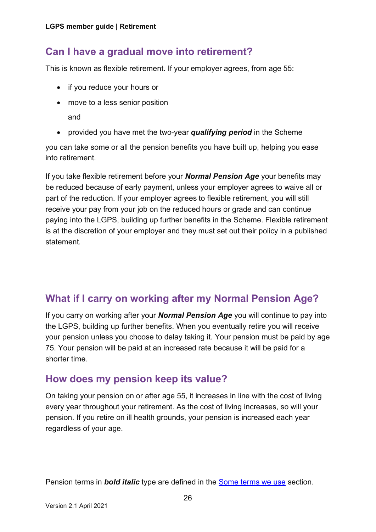### **Can I have a gradual move into retirement?**

This is known as flexible retirement. If your employer agrees, from age 55:

- if you reduce your hours or
- move to a less senior position and
- provided you have met the two-year *qualifying period* in the Scheme

you can take some or all the pension benefits you have built up, helping you ease into retirement.

If you take flexible retirement before your *Normal Pension Age* your benefits may be reduced because of early payment, unless your employer agrees to waive all or part of the reduction. If your employer agrees to flexible retirement, you will still receive your pay from your job on the reduced hours or grade and can continue paying into the LGPS, building up further benefits in the Scheme. Flexible retirement is at the discretion of your employer and they must set out their policy in a published statement*.*

### <span id="page-25-0"></span>**What if I carry on working after my Normal Pension Age?**

If you carry on working after your *Normal Pension Age* you will continue to pay into the LGPS, building up further benefits. When you eventually retire you will receive your pension unless you choose to delay taking it. Your pension must be paid by age 75. Your pension will be paid at an increased rate because it will be paid for a shorter time.

### <span id="page-25-1"></span>**How does my pension keep its value?**

On taking your pension on or after age 55, it increases in line with the cost of living every year throughout your retirement. As the cost of living increases, so will your pension. If you retire on ill health grounds, your pension is increased each year regardless of your age.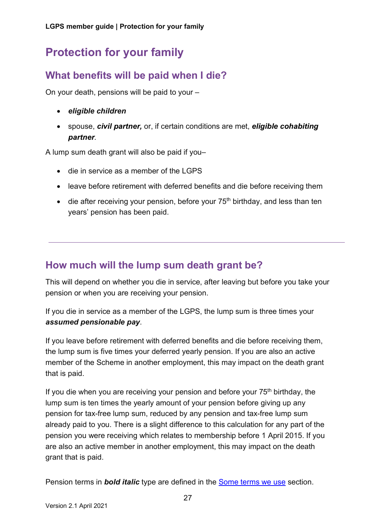# <span id="page-26-0"></span>**Protection for your family**

### <span id="page-26-1"></span>**What benefits will be paid when I die?**

On your death, pensions will be paid to your –

- *eligible children*
- spouse, *civil partner,* or, if certain conditions are met, *eligible cohabiting partner.*

A lump sum death grant will also be paid if you–

- die in service as a member of the LGPS
- leave before retirement with deferred benefits and die before receiving them
- <span id="page-26-2"></span>• die after receiving your pension, before your  $75<sup>th</sup>$  birthday, and less than ten years' pension has been paid.

### **How much will the lump sum death grant be?**

This will depend on whether you die in service, after leaving but before you take your pension or when you are receiving your pension.

If you die in service as a member of the LGPS, the lump sum is three times your *assumed pensionable pay*.

If you leave before retirement with deferred benefits and die before receiving them, the lump sum is five times your deferred yearly pension. If you are also an active member of the Scheme in another employment, this may impact on the death grant that is paid.

If you die when you are receiving your pension and before your  $75<sup>th</sup>$  birthday, the lump sum is ten times the yearly amount of your pension before giving up any pension for tax-free lump sum, reduced by any pension and tax-free lump sum already paid to you. There is a slight difference to this calculation for any part of the pension you were receiving which relates to membership before 1 April 2015. If you are also an active member in another employment, this may impact on the death grant that is paid.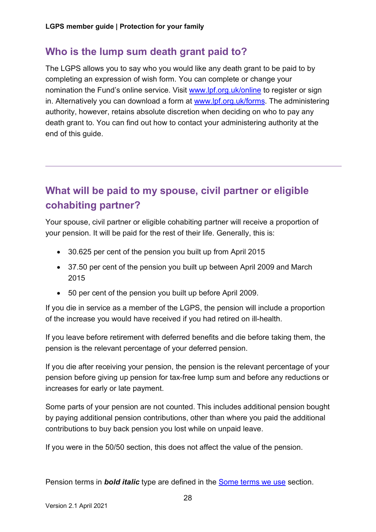### <span id="page-27-0"></span>**Who is the lump sum death grant paid to?**

The LGPS allows you to say who you would like any death grant to be paid to by completing an expression of wish form. You can complete or change your nomination the Fund's online service. Visit [www.lpf.org.uk/online](http://www.lpf.org.uk/online) to register or sign in. Alternatively you can download a form at [www.lpf.org.uk/forms.](http://www.lpf.org.uk/forms) The administering authority, however, retains absolute discretion when deciding on who to pay any death grant to. You can find out how to contact your administering authority at the end of this guide.

### <span id="page-27-1"></span>**What will be paid to my spouse, civil partner or eligible cohabiting partner?**

Your spouse, civil partner or eligible cohabiting partner will receive a proportion of your pension. It will be paid for the rest of their life. Generally, this is:

- 30.625 per cent of the pension you built up from April 2015
- 37.50 per cent of the pension you built up between April 2009 and March 2015
- 50 per cent of the pension you built up before April 2009.

If you die in service as a member of the LGPS, the pension will include a proportion of the increase you would have received if you had retired on ill-health.

If you leave before retirement with deferred benefits and die before taking them, the pension is the relevant percentage of your deferred pension.

If you die after receiving your pension, the pension is the relevant percentage of your pension before giving up pension for tax-free lump sum and before any reductions or increases for early or late payment.

Some parts of your pension are not counted. This includes additional pension bought by paying additional pension contributions, other than where you paid the additional contributions to buy back pension you lost while on unpaid leave.

If you were in the 50/50 section, this does not affect the value of the pension.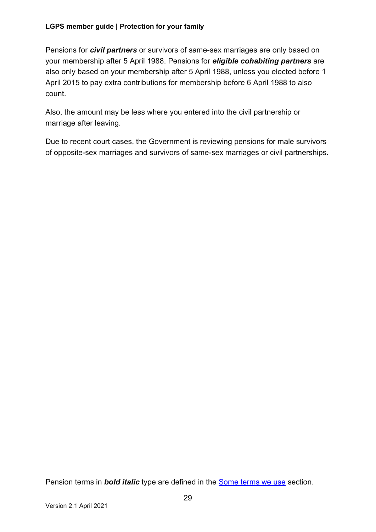Pensions for *civil partners* or survivors of same-sex marriages are only based on your membership after 5 April 1988. Pensions for *eligible cohabiting partners* are also only based on your membership after 5 April 1988, unless you elected before 1 April 2015 to pay extra contributions for membership before 6 April 1988 to also count.

Also, the amount may be less where you entered into the civil partnership or marriage after leaving.

Due to recent court cases, the Government is reviewing pensions for male survivors of opposite-sex marriages and survivors of same-sex marriages or civil partnerships.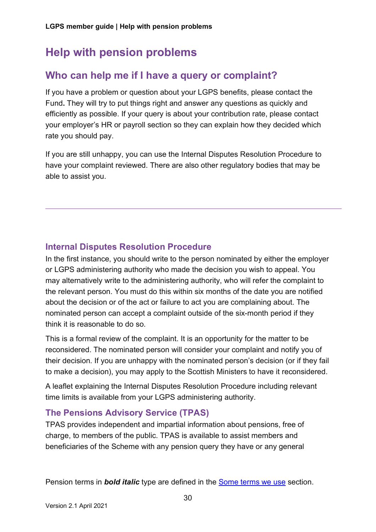# <span id="page-29-0"></span>**Help with pension problems**

### <span id="page-29-1"></span>**Who can help me if I have a query or complaint?**

If you have a problem or question about your LGPS benefits, please contact the Fund**.** They will try to put things right and answer any questions as quickly and efficiently as possible. If your query is about your contribution rate, please contact your employer's HR or payroll section so they can explain how they decided which rate you should pay.

If you are still unhappy, you can use the Internal Disputes Resolution Procedure to have your complaint reviewed. There are also other regulatory bodies that may be able to assist you.

### **Internal Disputes Resolution Procedure**

In the first instance, you should write to the person nominated by either the employer or LGPS administering authority who made the decision you wish to appeal. You may alternatively write to the administering authority, who will refer the complaint to the relevant person. You must do this within six months of the date you are notified about the decision or of the act or failure to act you are complaining about. The nominated person can accept a complaint outside of the six-month period if they think it is reasonable to do so.

This is a formal review of the complaint. It is an opportunity for the matter to be reconsidered. The nominated person will consider your complaint and notify you of their decision. If you are unhappy with the nominated person's decision (or if they fail to make a decision), you may apply to the Scottish Ministers to have it reconsidered.

A leaflet explaining the Internal Disputes Resolution Procedure including relevant time limits is available from your LGPS administering authority.

### **The Pensions Advisory Service (TPAS)**

TPAS provides independent and impartial information about pensions, free of charge, to members of the public. TPAS is available to assist members and beneficiaries of the Scheme with any pension query they have or any general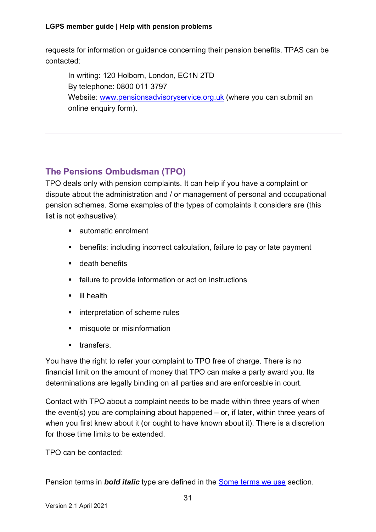requests for information or guidance concerning their pension benefits. TPAS can be contacted:

In writing: 120 Holborn, London, EC1N 2TD By telephone: 0800 011 3797 Website: [www.pensionsadvisoryservice.org.uk](http://www.pensionsadvisoryservice.org.uk/) (where you can submit an online enquiry form).

### **The Pensions Ombudsman (TPO)**

TPO deals only with pension complaints. It can help if you have a complaint or dispute about the administration and / or management of personal and occupational pension schemes. Some examples of the types of complaints it considers are (this list is not exhaustive):

- automatic enrolment
- benefits: including incorrect calculation, failure to pay or late payment
- **u** death benefits
- **EXECUTE:** failure to provide information or act on instructions
- **ill health**
- **EXECUTE:** interpretation of scheme rules
- $\blacksquare$  misquote or misinformation
- **u** transfers.

You have the right to refer your complaint to TPO free of charge. There is no financial limit on the amount of money that TPO can make a party award you. Its determinations are legally binding on all parties and are enforceable in court.

Contact with TPO about a complaint needs to be made within three years of when the event(s) you are complaining about happened – or, if later, within three years of when you first knew about it (or ought to have known about it). There is a discretion for those time limits to be extended.

TPO can be contacted: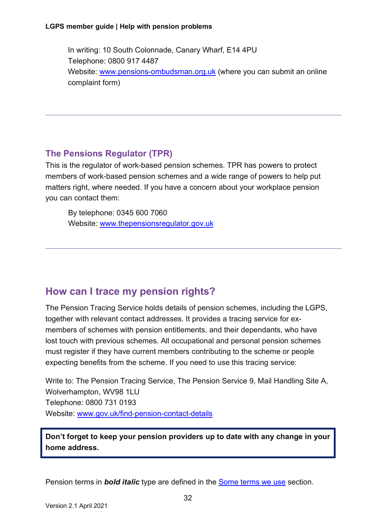In writing: 10 South Colonnade, Canary Wharf, E14 4PU Telephone: 0800 917 4487 Website: [www.pensions-ombudsman.org.uk](http://www.pensions-ombudsman.org.uk/) (where you can submit an online complaint form)

### **The Pensions Regulator (TPR)**

This is the regulator of work-based pension schemes. TPR has powers to protect members of work-based pension schemes and a wide range of powers to help put matters right, where needed. If you have a concern about your workplace pension you can contact them:

By telephone: 0345 600 7060 Website: [www.thepensionsregulator.gov.uk](http://www.thepensionsregulator.gov.uk/)

### <span id="page-31-0"></span>**How can I trace my pension rights?**

The Pension Tracing Service holds details of pension schemes, including the LGPS, together with relevant contact addresses. It provides a tracing service for exmembers of schemes with pension entitlements, and their dependants, who have lost touch with previous schemes. All occupational and personal pension schemes must register if they have current members contributing to the scheme or people expecting benefits from the scheme. If you need to use this tracing service:

Write to: The Pension Tracing Service, The Pension Service 9, Mail Handling Site A, Wolverhampton, WV98 1LU Telephone: 0800 731 0193 Website: [www.gov.uk/find-pension-contact-details](http://www.gov.uk/find-pension-contact-details)

**Don't forget to keep your pension providers up to date with any change in your home address.**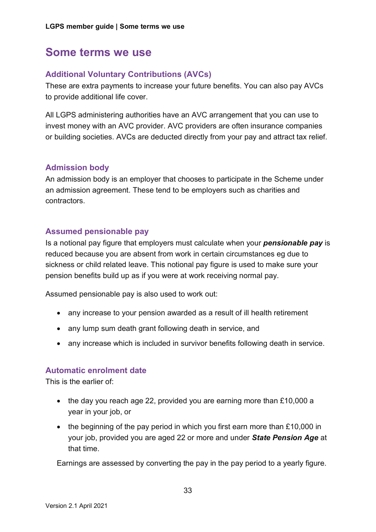### <span id="page-32-0"></span>**Some terms we use**

#### **Additional Voluntary Contributions (AVCs)**

These are extra payments to increase your future benefits. You can also pay AVCs to provide additional life cover.

All LGPS administering authorities have an AVC arrangement that you can use to invest money with an AVC provider. AVC providers are often insurance companies or building societies. AVCs are deducted directly from your pay and attract tax relief.

#### **Admission body**

An admission body is an employer that chooses to participate in the Scheme under an admission agreement. These tend to be employers such as charities and contractors.

#### **Assumed pensionable pay**

Is a notional pay figure that employers must calculate when your *pensionable pay* is reduced because you are absent from work in certain circumstances eg due to sickness or child related leave. This notional pay figure is used to make sure your pension benefits build up as if you were at work receiving normal pay.

Assumed pensionable pay is also used to work out:

- any increase to your pension awarded as a result of ill health retirement
- any lump sum death grant following death in service, and
- any increase which is included in survivor benefits following death in service.

#### **Automatic enrolment date**

This is the earlier of:

- the day you reach age 22, provided you are earning more than £10,000 a year in your job, or
- the beginning of the pay period in which you first earn more than £10,000 in your job, provided you are aged 22 or more and under *State Pension Age* at that time.

Earnings are assessed by converting the pay in the pay period to a yearly figure.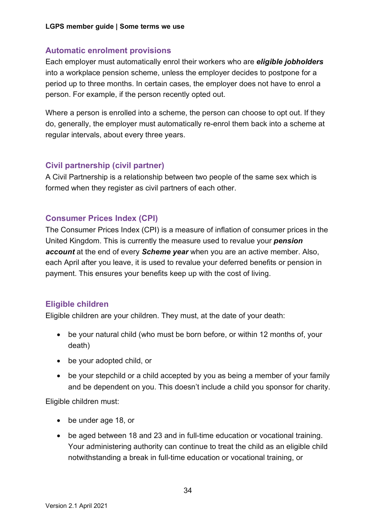### **Automatic enrolment provisions**

Each employer must automatically enrol their workers who are *eligible jobholders* into a workplace pension scheme, unless the employer decides to postpone for a period up to three months. In certain cases, the employer does not have to enrol a person. For example, if the person recently opted out.

Where a person is enrolled into a scheme, the person can choose to opt out. If they do, generally, the employer must automatically re-enrol them back into a scheme at regular intervals, about every three years.

#### **Civil partnership (civil partner)**

A Civil Partnership is a relationship between two people of the same sex which is formed when they register as civil partners of each other.

### **Consumer Prices Index (CPI)**

The Consumer Prices Index (CPI) is a measure of inflation of consumer prices in the United Kingdom. This is currently the measure used to revalue your *pension account* at the end of every *Scheme year* when you are an active member. Also, each April after you leave, it is used to revalue your deferred benefits or pension in payment. This ensures your benefits keep up with the cost of living.

### **Eligible children**

Eligible children are your children. They must, at the date of your death:

- be your natural child (who must be born before, or within 12 months of, your death)
- be your adopted child, or
- be your stepchild or a child accepted by you as being a member of your family and be dependent on you. This doesn't include a child you sponsor for charity.

Eligible children must:

- be under age 18, or
- be aged between 18 and 23 and in full-time education or vocational training. Your administering authority can continue to treat the child as an eligible child notwithstanding a break in full-time education or vocational training, or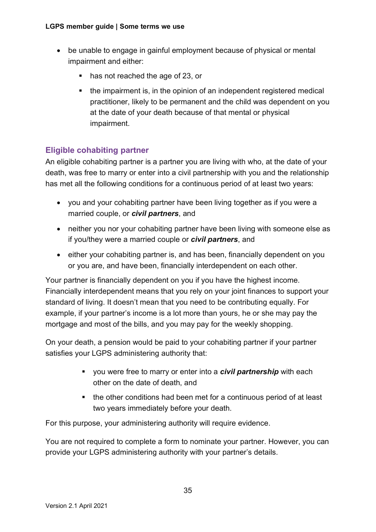- be unable to engage in gainful employment because of physical or mental impairment and either:
	- **has not reached the age of 23, or**
	- the impairment is, in the opinion of an independent registered medical practitioner, likely to be permanent and the child was dependent on you at the date of your death because of that mental or physical impairment.

### **Eligible cohabiting partner**

An eligible cohabiting partner is a partner you are living with who, at the date of your death, was free to marry or enter into a civil partnership with you and the relationship has met all the following conditions for a continuous period of at least two years:

- you and your cohabiting partner have been living together as if you were a married couple, or *civil partners*, and
- neither you nor your cohabiting partner have been living with someone else as if you/they were a married couple or *civil partners*, and
- either your cohabiting partner is, and has been, financially dependent on you or you are, and have been, financially interdependent on each other.

Your partner is financially dependent on you if you have the highest income. Financially interdependent means that you rely on your joint finances to support your standard of living. It doesn't mean that you need to be contributing equally. For example, if your partner's income is a lot more than yours, he or she may pay the mortgage and most of the bills, and you may pay for the weekly shopping.

On your death, a pension would be paid to your cohabiting partner if your partner satisfies your LGPS administering authority that:

- you were free to marry or enter into a *civil partnership* with each other on the date of death, and
- the other conditions had been met for a continuous period of at least two years immediately before your death.

For this purpose, your administering authority will require evidence.

You are not required to complete a form to nominate your partner. However, you can provide your LGPS administering authority with your partner's details.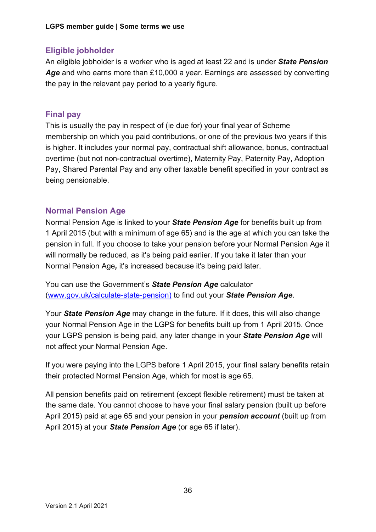### **Eligible jobholder**

An eligible jobholder is a worker who is aged at least 22 and is under *State Pension Age* and who earns more than £10,000 a year. Earnings are assessed by converting the pay in the relevant pay period to a yearly figure.

### **Final pay**

This is usually the pay in respect of (ie due for) your final year of Scheme membership on which you paid contributions, or one of the previous two years if this is higher. It includes your normal pay, contractual shift allowance, bonus, contractual overtime (but not non-contractual overtime), Maternity Pay, Paternity Pay, Adoption Pay, Shared Parental Pay and any other taxable benefit specified in your contract as being pensionable.

### **Normal Pension Age**

Normal Pension Age is linked to your *State Pension Age* for benefits built up from 1 April 2015 (but with a minimum of age 65) and is the age at which you can take the pension in full. If you choose to take your pension before your Normal Pension Age it will normally be reduced, as it's being paid earlier. If you take it later than your Normal Pension Age*,* it's increased because it's being paid later.

You can use the Government's *State Pension Age* calculator [\(www.gov.uk/calculate-state-pension\)](http://www.gov.uk/calculate-state-pension) to find out your *State Pension Age*.

Your *State Pension Age* may change in the future. If it does, this will also change your Normal Pension Age in the LGPS for benefits built up from 1 April 2015. Once your LGPS pension is being paid, any later change in your *State Pension Age* will not affect your Normal Pension Age.

If you were paying into the LGPS before 1 April 2015, your final salary benefits retain their protected Normal Pension Age, which for most is age 65.

All pension benefits paid on retirement (except flexible retirement) must be taken at the same date. You cannot choose to have your final salary pension (built up before April 2015) paid at age 65 and your pension in your *pension account* (built up from April 2015) at your *State Pension Age* (or age 65 if later).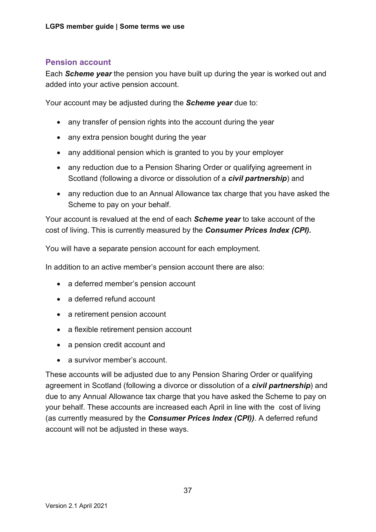### **Pension account**

Each *Scheme year* the pension you have built up during the year is worked out and added into your active pension account.

Your account may be adjusted during the *Scheme year* due to:

- any transfer of pension rights into the account during the year
- any extra pension bought during the year
- any additional pension which is granted to you by your employer
- any reduction due to a Pension Sharing Order or qualifying agreement in Scotland (following a divorce or dissolution of a *civil partnership*) and
- any reduction due to an Annual Allowance tax charge that you have asked the Scheme to pay on your behalf.

Your account is revalued at the end of each *Scheme year* to take account of the cost of living. This is currently measured by the *Consumer Prices Index (CPI).*

You will have a separate pension account for each employment.

In addition to an active member's pension account there are also:

- a deferred member's pension account
- a deferred refund account
- a retirement pension account
- a flexible retirement pension account
- a pension credit account and
- a survivor member's account.

These accounts will be adjusted due to any Pension Sharing Order or qualifying agreement in Scotland (following a divorce or dissolution of a *civil partnership*) and due to any Annual Allowance tax charge that you have asked the Scheme to pay on your behalf. These accounts are increased each April in line with the cost of living (as currently measured by the *Consumer Prices Index (CPI))*. A deferred refund account will not be adjusted in these ways.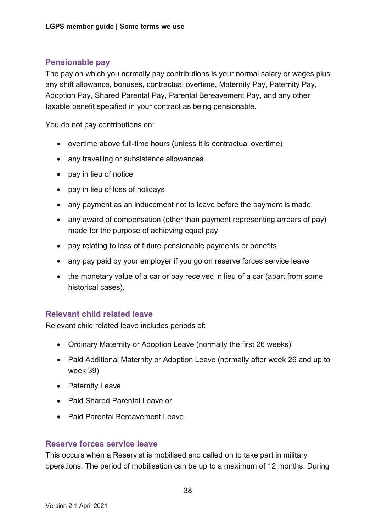### **Pensionable pay**

The pay on which you normally pay contributions is your normal salary or wages plus any shift allowance, bonuses, contractual overtime, Maternity Pay, Paternity Pay, Adoption Pay, Shared Parental Pay, Parental Bereavement Pay, and any other taxable benefit specified in your contract as being pensionable.

You do not pay contributions on:

- overtime above full-time hours (unless it is contractual overtime)
- any travelling or subsistence allowances
- pay in lieu of notice
- pay in lieu of loss of holidays
- any payment as an inducement not to leave before the payment is made
- any award of compensation (other than payment representing arrears of pay) made for the purpose of achieving equal pay
- pay relating to loss of future pensionable payments or benefits
- any pay paid by your employer if you go on reserve forces service leave
- the monetary value of a car or pay received in lieu of a car (apart from some historical cases).

#### **Relevant child related leave**

Relevant child related leave includes periods of:

- Ordinary Maternity or Adoption Leave (normally the first 26 weeks)
- Paid Additional Maternity or Adoption Leave (normally after week 26 and up to week 39)
- Paternity Leave
- Paid Shared Parental Leave or
- Paid Parental Bereavement Leave.

#### **Reserve forces service leave**

This occurs when a Reservist is mobilised and called on to take part in military operations. The period of mobilisation can be up to a maximum of 12 months. During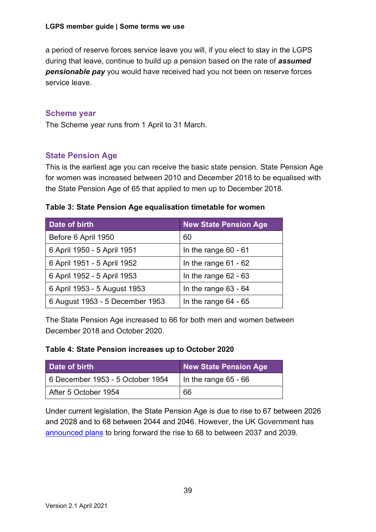a period of reserve forces service leave you will, if you elect to stay in the LGPS during that leave, continue to build up a pension based on the rate of *assumed pensionable pay* you would have received had you not been on reserve forces service leave.

#### **Scheme year**

The Scheme year runs from 1 April to 31 March.

### **State Pension Age**

This is the earliest age you can receive the basic state pension. State Pension Age for women was increased between 2010 and December 2018 to be equalised with the State Pension Age of 65 that applied to men up to December 2018.

#### **Table 3: State Pension Age equalisation timetable for women**

| Date of birth                   | <b>New State Pension Age</b> |
|---------------------------------|------------------------------|
| Before 6 April 1950             | 60                           |
| 6 April 1950 - 5 April 1951     | In the range $60 - 61$       |
| 6 April 1951 - 5 April 1952     | In the range $61 - 62$       |
| 6 April 1952 - 5 April 1953     | In the range $62 - 63$       |
| 6 April 1953 - 5 August 1953    | In the range $63 - 64$       |
| 6 August 1953 - 5 December 1953 | In the range $64 - 65$       |

The State Pension Age increased to 66 for both men and women between December 2018 and October 2020.

#### **Table 4: State Pension increases up to October 2020**

| Date of birth                    | New State Pension Age  |
|----------------------------------|------------------------|
| 6 December 1953 - 5 October 1954 | In the range $65 - 66$ |
| After 5 October 1954             | 66                     |

Under current legislation, the State Pension Age is due to rise to 67 between 2026 and 2028 and to 68 between 2044 and 2046. However, the UK Government has [announced plans](https://www.gov.uk/government/uploads/system/uploads/attachment_data/file/630065/state-pension-age-review-final-report.pdf) to bring forward the rise to 68 to between 2037 and 2039.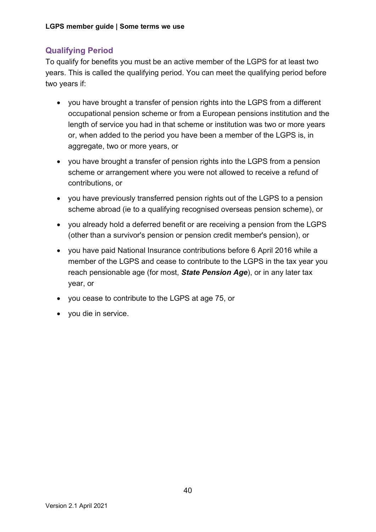### **Qualifying Period**

To qualify for benefits you must be an active member of the LGPS for at least two years. This is called the qualifying period. You can meet the qualifying period before two years if:

- you have brought a transfer of pension rights into the LGPS from a different occupational pension scheme or from a European pensions institution and the length of service you had in that scheme or institution was two or more years or, when added to the period you have been a member of the LGPS is, in aggregate, two or more years, or
- you have brought a transfer of pension rights into the LGPS from a pension scheme or arrangement where you were not allowed to receive a refund of contributions, or
- you have previously transferred pension rights out of the LGPS to a pension scheme abroad (ie to a qualifying recognised overseas pension scheme), or
- you already hold a deferred benefit or are receiving a pension from the LGPS (other than a survivor's pension or pension credit member's pension), or
- you have paid National Insurance contributions before 6 April 2016 while a member of the LGPS and cease to contribute to the LGPS in the tax year you reach pensionable age (for most, *State Pension Age*), or in any later tax year, or
- you cease to contribute to the LGPS at age 75, or
- you die in service.